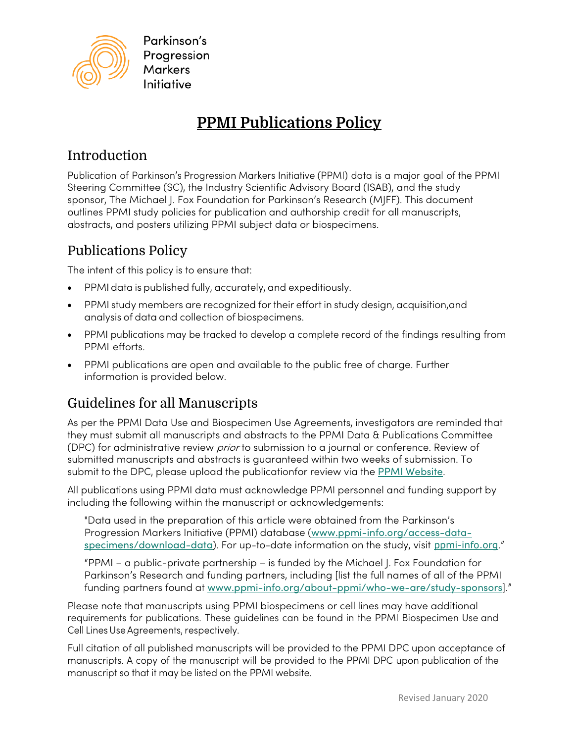

Parkinson's Progression **Markers** Initiative

# **PPMI Publications Policy**

# **Introduction**

Publication of Parkinson's Progression Markers Initiative (PPMI) data is a major goal of the PPMI Steering Committee (SC), the Industry Scientific Advisory Board (ISAB), and the study sponsor, The Michael J. Fox Foundation for Parkinson's Research (MJFF). This document outlines PPMI study policies for publication and authorship credit for all manuscripts, abstracts, and posters utilizing PPMI subject data or biospecimens.

### Publications Policy

The intent of this policy is to ensure that:

- PPMI data is published fully, accurately, and expeditiously.
- PPMI study members are recognized for their effort in study design, acquisition,and analysis of data and collection of biospecimens.
- PPMI publications may be tracked to develop a complete record of the findings resulting from PPMI efforts.
- PPMI publications are open and available to the public free of charge. Further information is provided below.

# Guidelines for all Manuscripts

As per the PPMI Data Use and Biospecimen Use Agreements, investigators are reminded that they must submit all manuscripts and abstracts to the PPMI Data & Publications Committee (DPC) for administrative review *prior* to submission to a journal or conference. Review of submitted manuscripts and abstracts is guaranteed within two weeks of submission. To submit to the DPC, please upload the publicationfor review via the [PPMI Website](http://www.ppmi-info.org/publications-presentations/publications).

All publications using PPMI data must acknowledge PPMI personnel and funding support by including the following within the manuscript or acknowledgements:

"Data used in the preparation of this article were obtained from the Parkinson's Progression Markers Initiative (PPMI) database ([www.ppmi-info.org/access-data](http://www.ppmi-info.org/access-data-specimens/download-data)[specimens/download-data](http://www.ppmi-info.org/access-data-specimens/download-data)). For up-to-date information on the study, visit [ppmi-info.org](http://www.ppmi-info.org/)."

"PPMI – a public-private partnership – is funded by the Michael J. Fox Foundation for Parkinson's Research and funding partners, including [list the full names of all of the PPMI funding partners found at [www.ppmi-info.org/about-ppmi/who-we-are/study-sponsors](http://www.ppmi-info.org/about-ppmi/who-we-are/study-sponsors)]."

Please note that manuscripts using PPMI biospecimens or cell lines may have additional requirements for publications. These guidelines can be found in the PPMI Biospecimen Use and Cell Lines Use Agreements, respectively.

Full citation of all published manuscripts will be provided to the PPMI DPC upon acceptance of manuscripts. A copy of the manuscript will be provided to the PPMI DPC upon publication of the manuscript so that it may be listed on the PPMI website.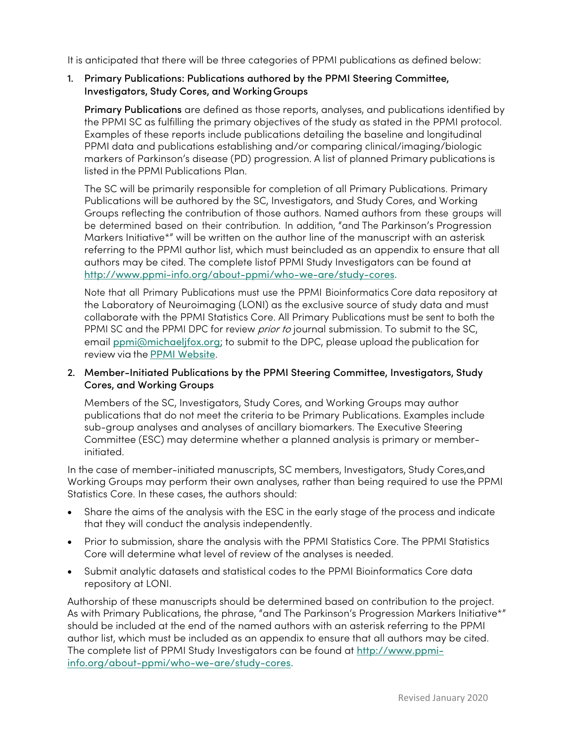It is anticipated that there will be three categories of PPMI publications as defined below:

#### 1. Primary Publications: Publications authored by the PPMI Steering Committee, Investigators, Study Cores, and WorkingGroups

Primary Publications are defined as those reports, analyses, and publications identified by the PPMI SC as fulfilling the primary objectives of the study as stated in the PPMI protocol. Examples of these reports include publications detailing the baseline and longitudinal PPMI data and publications establishing and/or comparing clinical/imaging/biologic markers of Parkinson's disease (PD) progression. A list of planned Primary publications is listed in the PPMI Publications Plan.

The SC will be primarily responsible for completion of all Primary Publications. Primary Publications will be authored by the SC, Investigators, and Study Cores, and Working Groups reflecting the contribution of those authors. Named authors from these groups will be determined based on their contribution. In addition, "and The Parkinson's Progression Markers Initiative\*" will be written on the author line of the manuscript with an asterisk referring to the PPMI author list, which must beincluded as an appendix to ensure that all authors may be cited. The complete listof PPMI Study Investigators can be found at [http://www.ppmi-info.org/about-ppmi/who-we-are/study-cores.](http://www.ppmi-info.org/about-ppmi/who-we-are/study-cores)

Note that all Primary Publications must use the PPMI Bioinformatics Core data repository at the Laboratory of Neuroimaging (LONI) as the exclusive source of study data and must collaborate with the PPMI Statistics Core. All Primary Publications must be sent to both the PPMI SC and the PPMI DPC for review *prior to* journal submission. To submit to the SC, email [ppmi@michaeljfox.org](mailto:ppmi@michaeljfox.org); to submit to the DPC, please upload the publication for review via the [PPMI Website](http://www.ppmi-info.org/publications-presentations/publications).

#### 2. Member-Initiated Publications by the PPMI Steering Committee, Investigators, Study Cores, and Working Groups

Members of the SC, Investigators, Study Cores, and Working Groups may author publications that do not meet the criteria to be Primary Publications. Examples include sub-group analyses and analyses of ancillary biomarkers. The Executive Steering Committee (ESC) may determine whether a planned analysis is primary or memberinitiated.

In the case of member-initiated manuscripts, SC members, Investigators, Study Cores,and Working Groups may perform their own analyses, rather than being required to use the PPMI Statistics Core. In these cases, the authors should:

- Share the aims of the analysis with the ESC in the early stage of the process and indicate that they will conduct the analysis independently.
- Prior to submission, share the analysis with the PPMI Statistics Core. The PPMI Statistics Core will determine what level of review of the analyses is needed.
- Submit analytic datasets and statistical codes to the PPMI Bioinformatics Core data repository at LONI.

Authorship of these manuscripts should be determined based on contribution to the project. As with Primary Publications, the phrase, "and The Parkinson's Progression Markers Initiative\*" should be included at the end of the named authors with an asterisk referring to the PPMI author list, which must be included as an appendix to ensure that all authors may be cited. The complete list of PPMI Study Investigators can be found at [http://www.ppmi](http://www.ppmi-info.org/about-ppmi/who-we-are/study-cores)[info.org/about-ppmi/who-we-are/study-cores.](http://www.ppmi-info.org/about-ppmi/who-we-are/study-cores)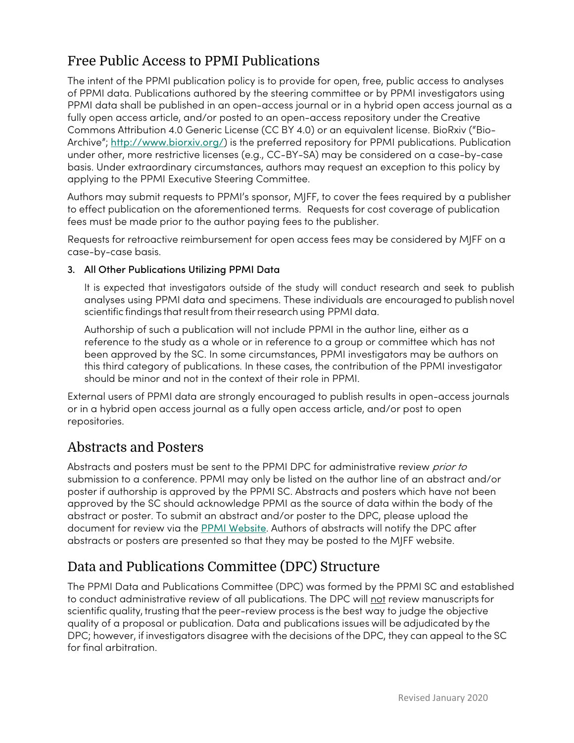# Free Public Access to PPMI Publications

The intent of the PPMI publication policy is to provide for open, free, public access to analyses of PPMI data. Publications authored by the steering committee or by PPMI investigators using PPMI data shall be published in an open-access journal or in a hybrid open access journal as a fully open access article, and/or posted to an open-access repository under the Creative Commons Attribution 4.0 Generic License (CC BY 4.0) or an equivalent license. BioRxiv ("BioArchive"; <http://www.biorxiv.org/>) is the preferred repository for PPMI publications. Publication under other, more restrictive licenses (e.g., CC-BY-SA) may be considered on a case-by-case basis. Under extraordinary circumstances, authors may request an exception to this policy by applying to the PPMI Executive Steering Committee.

Authors may submit requests to PPMI's sponsor, MJFF, to cover the fees required by a publisher to effect publication on the aforementioned terms. Requests for cost coverage of publication fees must be made prior to the author paying fees to the publisher.

Requests for retroactive reimbursement for open access fees may be considered by MJFF on a case-by-case basis.

#### 3. All Other Publications Utilizing PPMI Data

It is expected that investigators outside of the study will conduct research and seek to publish analyses using PPMI data and specimens. These individuals are encouraged to publish novel scientific findings that result from their research using PPMI data.

Authorship of such a publication will not include PPMI in the author line, either as a reference to the study as a whole or in reference to a group or committee which has not been approved by the SC. In some circumstances, PPMI investigators may be authors on this third category of publications. In these cases, the contribution of the PPMI investigator should be minor and not in the context of their role in PPMI.

External users of PPMI data are strongly encouraged to publish results in open-access journals or in a hybrid open access journal as a fully open access article, and/or post to open repositories.

### Abstracts and Posters

Abstracts and posters must be sent to the PPMI DPC for administrative review *prior to* submission to a conference. PPMI may only be listed on the author line of an abstract and/or poster if authorship is approved by the PPMI SC. Abstracts and posters which have not been approved by the SC should acknowledge PPMI as the source of data within the body of the abstract or poster. To submit an abstract and/or poster to the DPC, please upload the document for review via the [PPMI Website](http://www.ppmi-info.org/publications-presentations/publications). Authors of abstracts will notify the DPC after abstracts or posters are presented so that they may be posted to the MJFF website.

## Data and Publications Committee (DPC) Structure

The PPMI Data and Publications Committee (DPC) was formed by the PPMI SC and established to conduct administrative review of all publications. The DPC will not review manuscripts for scientific quality, trusting that the peer-review process is the best way to judge the objective quality of a proposal or publication. Data and publications issues will be adjudicated by the DPC; however, if investigators disagree with the decisions of the DPC, they can appeal to the SC for final arbitration.